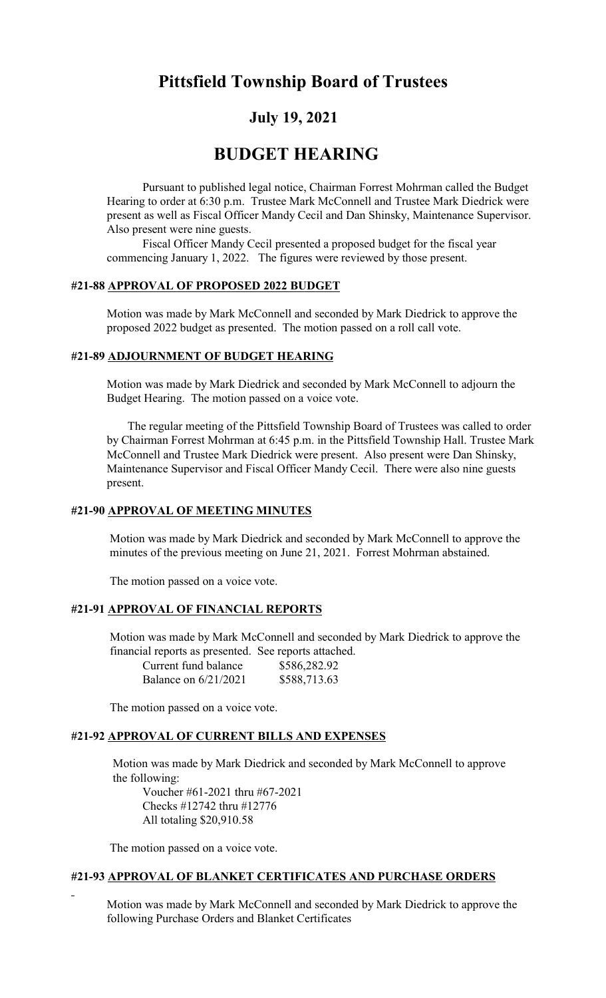# Pittsfield Township Board of Trustees

## July 19, 2021

## BUDGET HEARING

Pursuant to published legal notice, Chairman Forrest Mohrman called the Budget Hearing to order at 6:30 p.m. Trustee Mark McConnell and Trustee Mark Diedrick were present as well as Fiscal Officer Mandy Cecil and Dan Shinsky, Maintenance Supervisor. Also present were nine guests.

Fiscal Officer Mandy Cecil presented a proposed budget for the fiscal year commencing January 1, 2022. The figures were reviewed by those present.

#### #21-88 APPROVAL OF PROPOSED 2022 BUDGET

Motion was made by Mark McConnell and seconded by Mark Diedrick to approve the proposed 2022 budget as presented. The motion passed on a roll call vote.

#### #21-89 ADJOURNMENT OF BUDGET HEARING

Motion was made by Mark Diedrick and seconded by Mark McConnell to adjourn the Budget Hearing. The motion passed on a voice vote.

 The regular meeting of the Pittsfield Township Board of Trustees was called to order by Chairman Forrest Mohrman at 6:45 p.m. in the Pittsfield Township Hall. Trustee Mark McConnell and Trustee Mark Diedrick were present. Also present were Dan Shinsky, Maintenance Supervisor and Fiscal Officer Mandy Cecil. There were also nine guests present.

### #21-90 APPROVAL OF MEETING MINUTES

 Motion was made by Mark Diedrick and seconded by Mark McConnell to approve the minutes of the previous meeting on June 21, 2021. Forrest Mohrman abstained.

The motion passed on a voice vote.

#### #21-91 APPROVAL OF FINANCIAL REPORTS

 Motion was made by Mark McConnell and seconded by Mark Diedrick to approve the financial reports as presented. See reports attached.  $C_{\text{F}}^{2}$   $\frac{1}{2}$   $\frac{1}{2}$ 

| Current fund balance   | \$586,282.92 |
|------------------------|--------------|
| Balance on $6/21/2021$ | \$588,713.63 |

The motion passed on a voice vote.

#### #21-92 APPROVAL OF CURRENT BILLS AND EXPENSES

 Motion was made by Mark Diedrick and seconded by Mark McConnell to approve the following:

Voucher #61-2021 thru #67-2021 Checks #12742 thru #12776 All totaling \$20,910.58

The motion passed on a voice vote.

## #21-93 APPROVAL OF BLANKET CERTIFICATES AND PURCHASE ORDERS

 Motion was made by Mark McConnell and seconded by Mark Diedrick to approve the following Purchase Orders and Blanket Certificates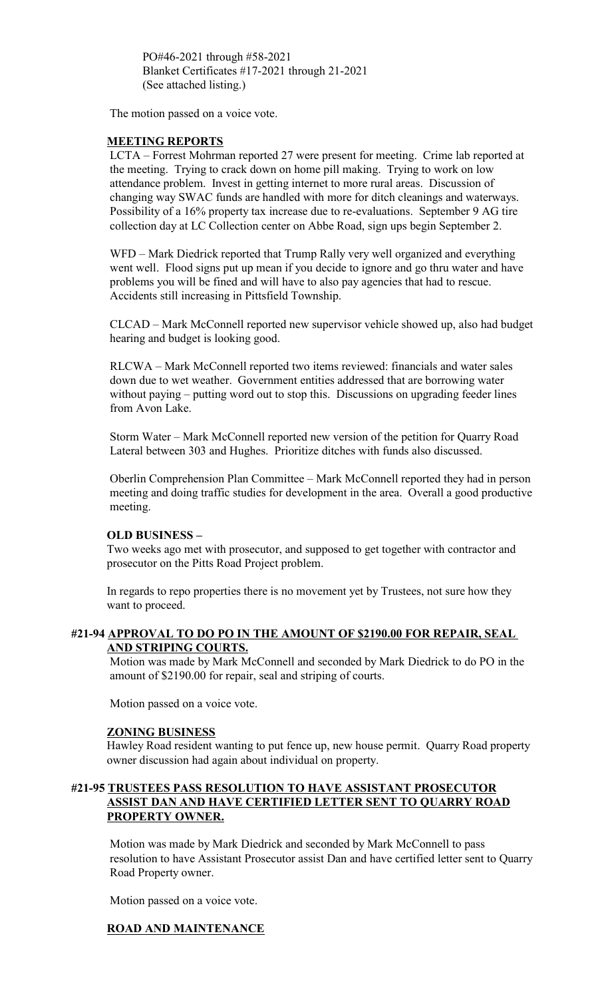PO#46-2021 through #58-2021 Blanket Certificates #17-2021 through 21-2021 (See attached listing.)

The motion passed on a voice vote.

#### MEETING REPORTS

LCTA – Forrest Mohrman reported 27 were present for meeting. Crime lab reported at the meeting. Trying to crack down on home pill making. Trying to work on low attendance problem. Invest in getting internet to more rural areas. Discussion of changing way SWAC funds are handled with more for ditch cleanings and waterways. Possibility of a 16% property tax increase due to re-evaluations. September 9 AG tire collection day at LC Collection center on Abbe Road, sign ups begin September 2.

WFD – Mark Diedrick reported that Trump Rally very well organized and everything went well. Flood signs put up mean if you decide to ignore and go thru water and have problems you will be fined and will have to also pay agencies that had to rescue. Accidents still increasing in Pittsfield Township.

CLCAD – Mark McConnell reported new supervisor vehicle showed up, also had budget hearing and budget is looking good.

RLCWA – Mark McConnell reported two items reviewed: financials and water sales down due to wet weather. Government entities addressed that are borrowing water without paying – putting word out to stop this. Discussions on upgrading feeder lines from Avon Lake.

Storm Water – Mark McConnell reported new version of the petition for Quarry Road Lateral between 303 and Hughes. Prioritize ditches with funds also discussed.

Oberlin Comprehension Plan Committee – Mark McConnell reported they had in person meeting and doing traffic studies for development in the area. Overall a good productive meeting.

#### OLD BUSINESS –

Two weeks ago met with prosecutor, and supposed to get together with contractor and prosecutor on the Pitts Road Project problem.

In regards to repo properties there is no movement yet by Trustees, not sure how they want to proceed.

#### #21-94 APPROVAL TO DO PO IN THE AMOUNT OF \$2190.00 FOR REPAIR, SEAL AND STRIPING COURTS.

Motion was made by Mark McConnell and seconded by Mark Diedrick to do PO in the amount of \$2190.00 for repair, seal and striping of courts.

Motion passed on a voice vote.

#### ZONING BUSINESS

Hawley Road resident wanting to put fence up, new house permit. Quarry Road property owner discussion had again about individual on property.

#### #21-95 TRUSTEES PASS RESOLUTION TO HAVE ASSISTANT PROSECUTOR ASSIST DAN AND HAVE CERTIFIED LETTER SENT TO QUARRY ROAD PROPERTY OWNER.

Motion was made by Mark Diedrick and seconded by Mark McConnell to pass resolution to have Assistant Prosecutor assist Dan and have certified letter sent to Quarry Road Property owner.

Motion passed on a voice vote.

#### ROAD AND MAINTENANCE